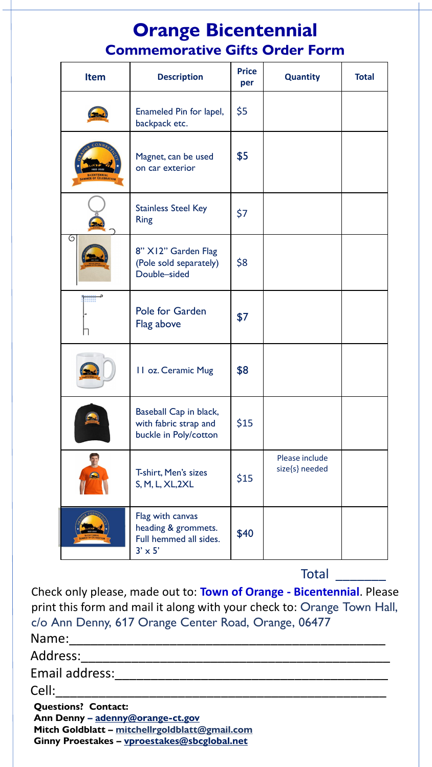## **Orange Bicentennial Commemorative Gifts Order Form**

| <b>Item</b>         | <b>Description</b>                                                                  | <b>Price</b><br>per | <b>Quantity</b>                  | <b>Total</b> |
|---------------------|-------------------------------------------------------------------------------------|---------------------|----------------------------------|--------------|
|                     | Enameled Pin for lapel,<br>backpack etc.                                            | \$5                 |                                  |              |
| MMER OF CELEBRATION | Magnet, can be used<br>on car exterior                                              | \$5                 |                                  |              |
|                     | <b>Stainless Steel Key</b><br><b>Ring</b>                                           | \$7                 |                                  |              |
| G                   | 8" X12" Garden Flag<br>(Pole sold separately)<br>Double-sided                       | \$8                 |                                  |              |
|                     | <b>Pole for Garden</b><br>Flag above                                                | \$7                 |                                  |              |
|                     | 11 oz. Ceramic Mug                                                                  | \$8                 |                                  |              |
|                     | Baseball Cap in black,<br>with fabric strap and<br>buckle in Poly/cotton            | \$15                |                                  |              |
|                     | T-shirt, Men's sizes<br>S, M, L, XL, 2XL                                            | \$15                | Please include<br>size{s} needed |              |
|                     | Flag with canvas<br>heading & grommets.<br>Full hemmed all sides.<br>$3' \times 5'$ | \$40                |                                  |              |

Total

**Questions? Contact: Ann Denny – adenny@orange-ct.gov** Name:\_\_\_\_\_\_\_\_\_\_\_\_\_\_\_\_\_\_\_\_\_\_\_\_\_\_\_\_\_\_\_\_\_\_\_\_\_\_\_\_\_\_\_\_ Address: Email address: Cell:\_\_\_\_\_\_\_\_\_\_\_\_\_\_\_\_\_\_\_\_\_\_\_\_\_\_\_\_\_\_\_\_\_\_\_\_\_\_\_\_\_\_\_\_\_\_ Check only please, made out to: **Town of Orange - Bicentennial**. Please print this form and mail it along with your check to: Orange Town Hall, c/o Ann Denny, 617 Orange Center Road, Orange, 06477

**Mitch Goldblatt – [mitchellrgoldblatt@gmail.com](mailto:mitchellrgoldblatt@gmail.com)**

**Ginny Proestakes – [vproestakes@sbcglobal.net](mailto:vproestakes@sbcglobal.net)**